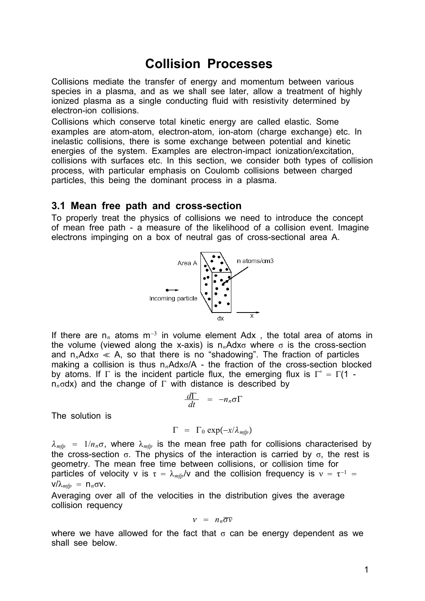## **Collision Processes**

Collisions mediate the transfer of energy and momentum between various species in a plasma, and as we shall see later, allow a treatment of highly ionized plasma as a single conducting fluid with resistivity determined by electron-ion collisions.

Collisions which conserve total kinetic energy are called elastic. Some examples are atom-atom, electron-atom, ion-atom (charge exchange) etc. In inelastic collisions, there is some exchange between potential and kinetic energies of the system. Examples are electron-impact ionization/excitation, collisions with surfaces etc. In this section, we consider both types of collision process, with particular emphasis on Coulomb collisions between charged particles, this being the dominant process in a plasma.

## **3.1 Mean free path and cross-section**

To properly treat the physics of collisions we need to introduce the concept of mean free path - a measure of the likelihood of a collision event. Imagine electrons impinging on a box of neutral gas of cross-sectional area A.



If there are  $n_n$  atoms  $m^{-3}$  in volume element Adx, the total area of atoms in the volume (viewed along the x-axis) is  $n_n$ Adx<sub> $\sigma$ </sub> where  $\sigma$  is the cross-section and  $n_n$ Adx $\sigma \ll A$ , so that there is no "shadowing". The fraction of particles making a collision is thus  $n<sub>n</sub> A dx<sub>o</sub>/A$  - the fraction of the cross-section blocked by atoms. If  $\Gamma$  is the incident particle flux, the emerging flux is  $\Gamma' = \Gamma(1$  $n_n \sigma dx$ ) and the change of  $\Gamma$  with distance is described by

$$
\frac{d\Gamma}{dt} = -n_n \sigma \Gamma
$$

The solution is

$$
\Gamma = \Gamma_0 \exp(-x/\lambda_{mfp})
$$

 $\lambda_{mfp}$  =  $1/n_n\sigma$ , where  $\lambda_{mfp}$  is the mean free path for collisions characterised by the cross-section  $\sigma$ . The physics of the interaction is carried by  $\sigma$ , the rest is geometry. The mean free time between collisions, or collision time for particles of velocity v is  $\tau = \lambda_{mfp}/v$  and the collision frequency is  $v = \tau^{-1}$  $v/\lambda_{mfp} = n_n \sigma v$ .

Averaging over all of the velocities in the distribution gives the average collision requency

$$
v = n_n \overline{\sigma v}
$$

where we have allowed for the fact that  $\sigma$  can be energy dependent as we shall see below.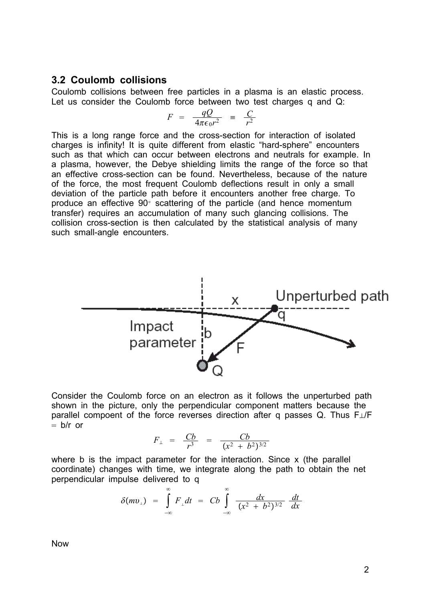## **3.2 Coulomb collisions**

Coulomb collisions between free particles in a plasma is an elastic process. Let us consider the Coulomb force between two test charges q and Q:

$$
F = \frac{qQ}{4\pi\epsilon_0 r^2} = \frac{C}{r^2}
$$

This is a long range force and the cross-section for interaction of isolated charges is infinity! It is quite different from elastic "hard-sphere" encounters such as that which can occur between electrons and neutrals for example. In a plasma, however, the Debye shielding limits the range of the force so that an effective cross-section can be found. Nevertheless, because of the nature of the force, the most frequent Coulomb deflections result in only a small deviation of the particle path before it encounters another free charge. To produce an effective  $90^{\circ}$  scattering of the particle (and hence momentum transfer) requires an accumulation of many such glancing collisions. The collision cross-section is then calculated by the statistical analysis of many such small-angle encounters.



Consider the Coulomb force on an electron as it follows the unperturbed path shown in the picture, only the perpendicular component matters because the parallel compoent of the force reverses direction after q passes  $Q$ . Thus  $F \perp/F$  $= b/r$  or

$$
F_{\perp} = \frac{Cb}{r^3} = \frac{Cb}{(x^2 + b^2)^{3/2}}
$$

where b is the impact parameter for the interaction. Since x (the parallel coordinate) changes with time, we integrate along the path to obtain the net perpendicular impulse delivered to q

$$
\delta(mv_{\perp}) = \int_{-\infty}^{\infty} F_{\perp} dt = Cb \int_{-\infty}^{\infty} \frac{dx}{(x^2 + b^2)^{3/2}} \frac{dt}{dx}
$$

Now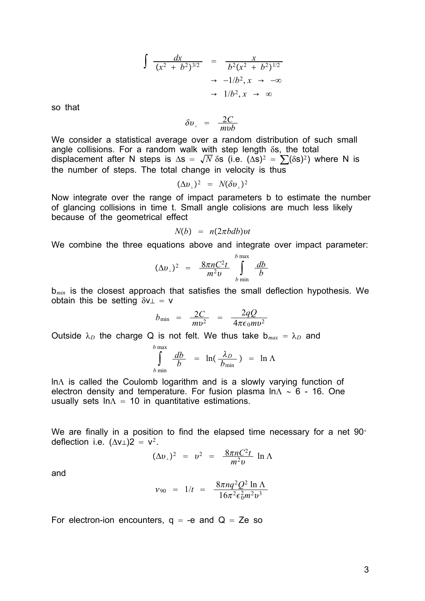$$
\int \frac{dx}{(x^2 + b^2)^{3/2}} = \frac{x}{b^2(x^2 + b^2)^{1/2}}
$$

$$
\Rightarrow -1/b^2, x \to -\infty
$$

$$
\Rightarrow 1/b^2, x \to \infty
$$

so that

$$
\delta v_{\perp} = \frac{2C}{m\nu b}
$$

We consider a statistical average over a random distribution of such small angle collisions. For a random walk with step length  $\delta s$ , the total displacement after N steps is  $\Delta s = \sqrt{N} \, \delta s$  (i.e.  $(\Delta s)^2 = \sum (\delta s)^2$ ) where N is the number of steps. The total change in velocity is thus

$$
(\Delta v_{\perp})^2 = N(\delta v_{\perp})^2
$$

Now integrate over the range of impact parameters b to estimate the number of glancing collisions in time t. Small angle colisions are much less likely because of the geometrical effect

$$
N(b) = n(2\pi bdb)vt
$$

We combine the three equations above and integrate over impact parameter:

$$
(\Delta v_{\perp})^2 = \frac{8\pi n C^2 t}{m^2 v} \int_{b \text{ min}}^{b \text{ max}} \frac{db}{b}
$$

b*min* is the closest approach that satisfies the small deflection hypothesis. We obtain this be setting  $\delta v \perp = v$ 

$$
b_{\min} = \frac{2C}{mv^2} = \frac{2qQ}{4\pi\epsilon_0mv^2}
$$

Outside  $\lambda_D$  the charge Q is not felt. We thus take  $b_{max} = \lambda_D$  and

$$
\int_{b \min}^{b \max} \frac{db}{b} = \ln(\frac{\lambda_D}{b_{\min}}) = \ln \Lambda
$$

 $In \Lambda$  is called the Coulomb logarithm and is a slowly varying function of electron density and temperature. For fusion plasma  $\ln \Lambda \sim 6$  - 16. One usually sets  $\ln \Lambda = 10$  in quantitative estimations.

We are finally in a position to find the elapsed time necessary for a net  $90^{\circ}$ deflection i.e.  $(\Delta v_{\perp})$ 2 =  $v^2$ .

$$
(\Delta v_{\perp})^2 = v^2 = \frac{8\pi nC^2t}{m^2v} \ln \Lambda
$$

and

$$
v_{90} = 1/t = \frac{8\pi nq^2Q^2 \ln \Lambda}{16\pi^2\epsilon_0^2m^2v^3}
$$

For electron-ion encounters,  $q = -e$  and  $Q = Ze$  so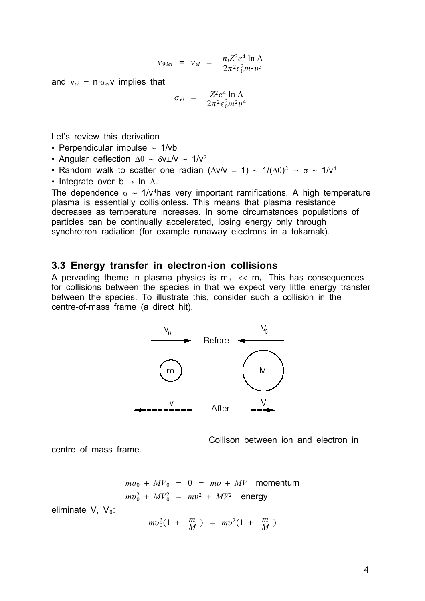$$
v_{90ei} \equiv v_{ei} = \frac{n_i Z^2 e^4 \ln \Lambda}{2\pi^2 \epsilon_0^2 m^2 v^3}
$$

and  $v_{ei} = n_i \sigma_{ei} v$  implies that

$$
\sigma_{ei} = \frac{Z^2 e^4 \ln \Lambda}{2\pi^2 \epsilon_0^2 m^2 v^4}
$$

Let's review this derivation

- Perpendicular impulse  $\sim 1/vb$
- Angular deflection  $\Delta\theta \sim \delta v/\sqrt{v} \sim 1/v^2$
- Random walk to scatter one radian  $(\Delta v/v = 1) \sim 1/(\Delta \theta)^2 \rightarrow \sigma \sim 1/v^4$
- Integrate over  $b \rightarrow \ln \Lambda$ .

The dependence  $\sigma \sim 1/v^4$ has very important ramifications. A high temperature plasma is essentially collisionless. This means that plasma resistance decreases as temperature increases. In some circumstances populations of particles can be continually accelerated, losing energy only through synchrotron radiation (for example runaway electrons in a tokamak).

## **3.3 Energy transfer in electron-ion collisions**

A pervading theme in plasma physics is  $m_e \ll m_i$ . This has consequences for collisions between the species in that we expect very little energy transfer between the species. To illustrate this, consider such a collision in the centre-of-mass frame (a direct hit).



Collison between ion and electron in

centre of mass frame.

$$
mv_0 + MV_0 = 0 = mv + MV
$$
momentum  

$$
mv_0^2 + MV_0^2 = mv^2 + MV^2
$$
energy

eliminate  $V$ ,  $V_0$ :

$$
mv_0^2(1 + \frac{m}{M}) = mv^2(1 + \frac{m}{M})
$$